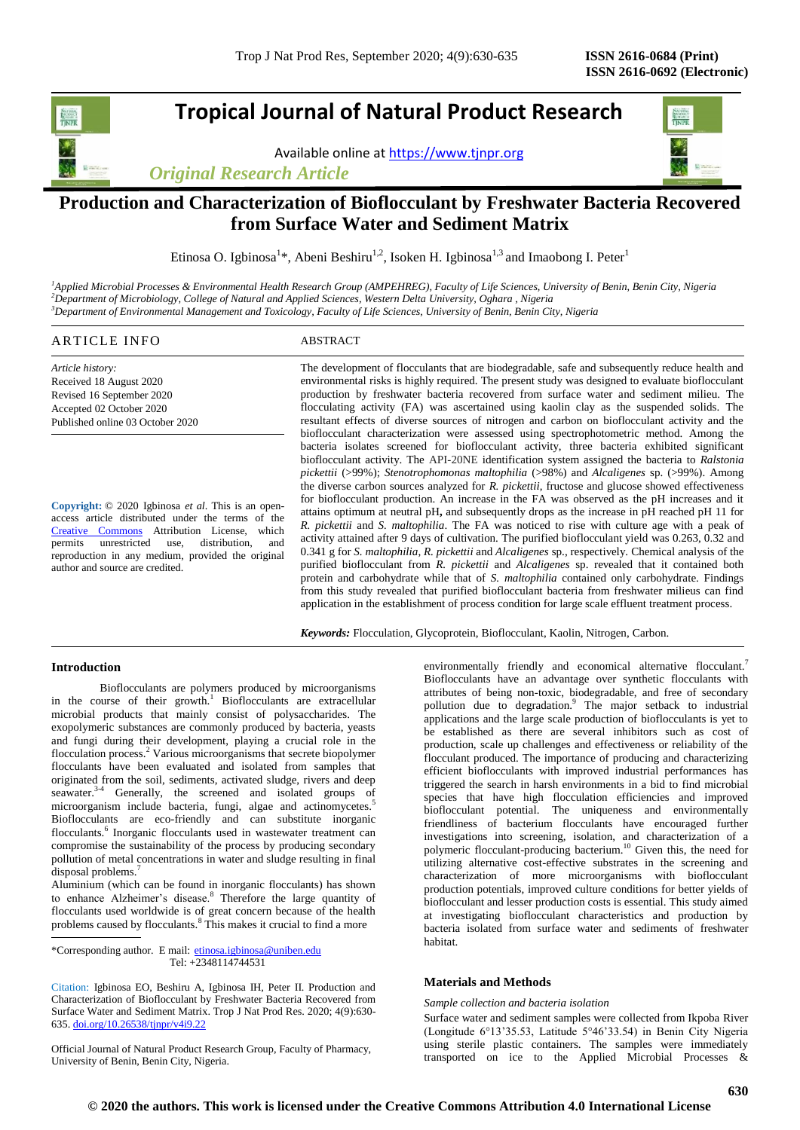## **Tropical Journal of Natural Product Research**

Available online a[t https://www.tjnpr.org](https://www.tjnpr.org/)

*Original Research Article*



### **Production and Characterization of Bioflocculant by Freshwater Bacteria Recovered from Surface Water and Sediment Matrix**

Etinosa O. Igbinosa<sup>1\*</sup>, Abeni Beshiru<sup>1,2</sup>, Isoken H. Igbinosa<sup>1,3</sup> and Imaobong I. Peter<sup>1</sup>

*<sup>1</sup>Applied Microbial Processes & Environmental Health Research Group (AMPEHREG), Faculty of Life Sciences, University of Benin, Benin City, Nigeria <sup>2</sup>Department of Microbiology, College of Natural and Applied Sciences, Western Delta University, Oghara , Nigeria <sup>3</sup>Department of Environmental Management and Toxicology, Faculty of Life Sciences, University of Benin, Benin City, Nigeria*

### ARTICLE INFO ABSTRACT

*Article history:* Received 18 August 2020 Revised 16 September 2020 Accepted 02 October 2020 Published online 03 October 2020

**Copyright:** © 2020 Igbinosa *et al*. This is an openaccess article distributed under the terms of the [Creative Commons](https://creativecommons.org/licenses/by/4.0/) Attribution License, which permits unrestricted use, distribution, and reproduction in any medium, provided the original author and source are credited.

The development of flocculants that are biodegradable, safe and subsequently reduce health and environmental risks is highly required. The present study was designed to evaluate bioflocculant production by freshwater bacteria recovered from surface water and sediment milieu. The flocculating activity (FA) was ascertained using kaolin clay as the suspended solids. The resultant effects of diverse sources of nitrogen and carbon on bioflocculant activity and the bioflocculant characterization were assessed using spectrophotometric method. Among the bacteria isolates screened for bioflocculant activity, three bacteria exhibited significant bioflocculant activity. The API-20NE identification system assigned the bacteria to *Ralstonia pickettii* (>99%); *Stenotrophomonas maltophilia* (>98%) and *Alcaligenes* sp. (>99%). Among the diverse carbon sources analyzed for *R. pickettii*, fructose and glucose showed effectiveness for bioflocculant production. An increase in the FA was observed as the pH increases and it attains optimum at neutral pH**,** and subsequently drops as the increase in pH reached pH 11 for *R. pickettii* and *S. maltophilia*. The FA was noticed to rise with culture age with a peak of activity attained after 9 days of cultivation. The purified bioflocculant yield was 0.263, 0.32 and 0.341 g for *S. maltophilia*, *R. pickettii* and *Alcaligenes* sp., respectively. Chemical analysis of the purified bioflocculant from *R. pickettii* and *Alcaligenes* sp. revealed that it contained both protein and carbohydrate while that of *S. maltophilia* contained only carbohydrate. Findings from this study revealed that purified bioflocculant bacteria from freshwater milieus can find application in the establishment of process condition for large scale effluent treatment process.

*Keywords:* Flocculation, Glycoprotein, Bioflocculant, Kaolin, Nitrogen, Carbon.

#### **Introduction**

Bioflocculants are polymers produced by microorganisms in the course of their growth.<sup>1</sup> Bioflocculants are extracellular microbial products that mainly consist of polysaccharides. The exopolymeric substances are commonly produced by bacteria, yeasts and fungi during their development, playing a crucial role in the flocculation process.<sup>2</sup> Various microorganisms that secrete biopolymer flocculants have been evaluated and isolated from samples that originated from the soil, sediments, activated sludge, rivers and deep seawater.<sup>3-4</sup> Generally, the screened and isolated groups of microorganism include bacteria, fungi, algae and actinomycetes.<sup>5</sup> Bioflocculants are eco-friendly and can substitute inorganic flocculants.<sup>6</sup> Inorganic flocculants used in wastewater treatment can compromise the sustainability of the process by producing secondary pollution of metal concentrations in water and sludge resulting in final disposal problems.<sup>7</sup>

Aluminium (which can be found in inorganic flocculants) has shown to enhance Alzheimer's disease.<sup>8</sup> Therefore the large quantity of flocculants used worldwide is of great concern because of the health problems caused by flocculants.<sup>8</sup> This makes it crucial to find a more

\*Corresponding author. E mail: etinosa.igbinosa@uniben.edu Tel: +2348114744531

Citation: Igbinosa EO, Beshiru A, Igbinosa IH, Peter II. Production and Characterization of Bioflocculant by Freshwater Bacteria Recovered from Surface Water and Sediment Matrix. Trop J Nat Prod Res. 2020; 4(9):630- 635[. doi.org/10.26538/tjnpr/v4i9.2](http://www.doi.org/10.26538/tjnpr/v1i4.5)2

Official Journal of Natural Product Research Group, Faculty of Pharmacy, University of Benin, Benin City, Nigeria.

environmentally friendly and economical alternative flocculant.<sup>7</sup> Bioflocculants have an advantage over synthetic flocculants with attributes of being non-toxic, biodegradable, and free of secondary pollution due to degradation.<sup>9</sup> The major setback to industrial applications and the large scale production of bioflocculants is yet to be established as there are several inhibitors such as cost of production, scale up challenges and effectiveness or reliability of the flocculant produced. The importance of producing and characterizing efficient bioflocculants with improved industrial performances has triggered the search in harsh environments in a bid to find microbial species that have high flocculation efficiencies and improved bioflocculant potential. The uniqueness and environmentally friendliness of bacterium flocculants have encouraged further investigations into screening, isolation, and characterization of a polymeric flocculant-producing bacterium.<sup>10</sup> Given this, the need for utilizing alternative cost-effective substrates in the screening and characterization of more microorganisms with bioflocculant production potentials, improved culture conditions for better yields of bioflocculant and lesser production costs is essential. This study aimed at investigating bioflocculant characteristics and production by bacteria isolated from surface water and sediments of freshwater habitat.

#### **Materials and Methods**

#### *Sample collection and bacteria isolation*

Surface water and sediment samples were collected from Ikpoba River (Longitude 6°13'35.53, Latitude 5°46'33.54) in Benin City Nigeria using sterile plastic containers. The samples were immediately transported on ice to the Applied Microbial Processes &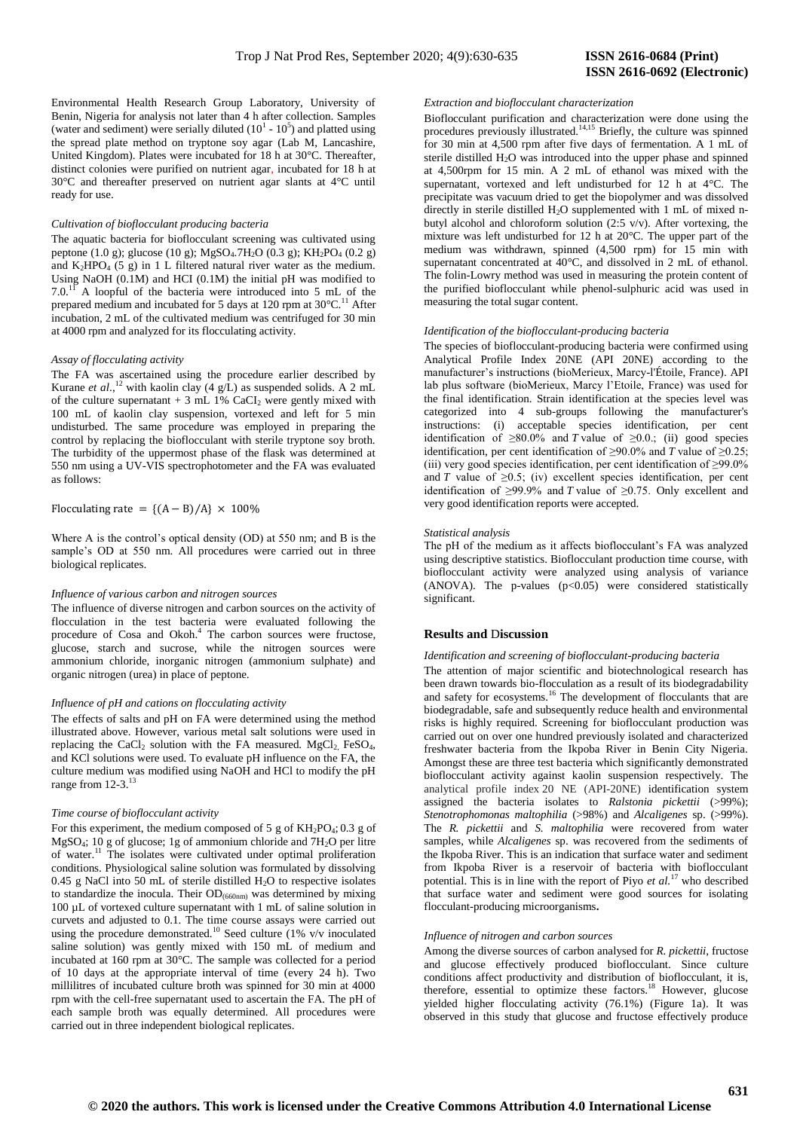Environmental Health Research Group Laboratory, University of Benin, Nigeria for analysis not later than 4 h after collection. Samples (water and sediment) were serially diluted  $(10<sup>1</sup> - 10<sup>5</sup>)$  and platted using the spread plate method on tryptone soy agar (Lab M, Lancashire, United Kingdom). Plates were incubated for 18 h at 30°C. Thereafter, distinct colonies were purified on nutrient agar, incubated for 18 h at 30°C and thereafter preserved on nutrient agar slants at 4°C until ready for use.

#### *Cultivation of bioflocculant producing bacteria*

The aquatic bacteria for bioflocculant screening was cultivated using peptone (1.0 g); glucose (10 g); MgSO<sub>4</sub>.7H<sub>2</sub>O (0.3 g); KH<sub>2</sub>PO<sub>4</sub> (0.2 g) and  $K_2HPO_4$  (5 g) in 1 L filtered natural river water as the medium. Using NaOH (0.1M) and HCI (0.1M) the initial pH was modified to  $7.0$ <sup>11</sup> A loopful of the bacteria were introduced into 5 mL of the prepared medium and incubated for 5 days at 120 rpm at  $30^{\circ}$ C.<sup>11</sup> After incubation, 2 mL of the cultivated medium was centrifuged for 30 min at 4000 rpm and analyzed for its flocculating activity.

#### *Assay of flocculating activity*

The FA was ascertained using the procedure earlier described by Kurane *et al.*,<sup>12</sup> with kaolin clay (4  $g/L$ ) as suspended solids. A 2 mL of the culture supernatant  $+3$  mL 1% CaCI<sub>2</sub> were gently mixed with 100 mL of kaolin clay suspension, vortexed and left for 5 min undisturbed. The same procedure was employed in preparing the control by replacing the bioflocculant with sterile tryptone soy broth. The turbidity of the uppermost phase of the flask was determined at 550 nm using a UV-VIS spectrophotometer and the FA was evaluated as follows:

Flocculating rate =  ${(A - B)/A} \times 100\%$ 

Where A is the control's optical density (OD) at 550 nm; and B is the sample's OD at 550 nm. All procedures were carried out in three biological replicates.

#### *Influence of various carbon and nitrogen sources*

The influence of diverse nitrogen and carbon sources on the activity of flocculation in the test bacteria were evaluated following the procedure of Cosa and Okoh. 4 The carbon sources were fructose, glucose, starch and sucrose, while the nitrogen sources were ammonium chloride, inorganic nitrogen (ammonium sulphate) and organic nitrogen (urea) in place of peptone.

#### *Influence of pH and cations on flocculating activity*

The effects of salts and pH on FA were determined using the method illustrated above. However, various metal salt solutions were used in replacing the CaCl<sub>2</sub> solution with the FA measured. MgCl<sub>2</sub> FeSO<sub>4</sub>, and KCl solutions were used. To evaluate pH influence on the FA, the culture medium was modified using NaOH and HCl to modify the pH range from 12-3.<sup>13</sup>

#### *Time course of bioflocculant activity*

For this experiment, the medium composed of 5 g of  $KH_2PO_4$ ; 0.3 g of MgSO4; 10 g of glucose; 1g of ammonium chloride and 7H2O per litre of water.<sup>11</sup> The isolates were cultivated under optimal proliferation conditions. Physiological saline solution was formulated by dissolving 0.45 g NaCl into 50 mL of sterile distilled  $H_2O$  to respective isolates to standardize the inocula. Their OD(660nm) was determined by mixing 100 µL of vortexed culture supernatant with 1 mL of saline solution in curvets and adjusted to 0.1. The time course assays were carried out using the procedure demonstrated.<sup>10</sup> Seed culture (1% v/v inoculated saline solution) was gently mixed with 150 mL of medium and incubated at 160 rpm at 30°C. The sample was collected for a period of 10 days at the appropriate interval of time (every 24 h). Two millilitres of incubated culture broth was spinned for 30 min at 4000 rpm with the cell-free supernatant used to ascertain the FA. The pH of each sample broth was equally determined. All procedures were carried out in three independent biological replicates.

# **ISSN 2616-0692 (Electronic)**

#### *Extraction and bioflocculant characterization*

Bioflocculant purification and characterization were done using the procedures previously illustrated.<sup>14,15</sup> Briefly, the culture was spinned for 30 min at 4,500 rpm after five days of fermentation. A 1 mL of sterile distilled  $H_2O$  was introduced into the upper phase and spinned at 4,500rpm for 15 min. A 2 mL of ethanol was mixed with the supernatant, vortexed and left undisturbed for 12 h at 4°C. The precipitate was vacuum dried to get the biopolymer and was dissolved directly in sterile distilled H2O supplemented with 1 mL of mixed nbutyl alcohol and chloroform solution (2:5 v/v). After vortexing, the mixture was left undisturbed for 12 h at 20°C. The upper part of the medium was withdrawn, spinned (4,500 rpm) for 15 min with supernatant concentrated at 40°C, and dissolved in 2 mL of ethanol. The folin-Lowry method was used in measuring the protein content of the purified bioflocculant while phenol-sulphuric acid was used in measuring the total sugar content.

#### *Identification of the bioflocculant-producing bacteria*

The species of bioflocculant-producing bacteria were confirmed using Analytical Profile Index 20NE (API 20NE) according to the manufacturer's instructions (bioMerieux, Marcy-l'Étoile, France). API lab plus software (bioMerieux, Marcy l'Etoile, France) was used for the final identification. Strain identification at the species level was categorized into 4 sub-groups following the manufacturer's instructions: (i) acceptable species identification, per cent identification of  $\geq 80.0\%$  and *T* value of  $\geq 0.0$ ; (ii) good species identification, per cent identification of  $\geq 90.0\%$  and *T* value of  $\geq 0.25$ ; (iii) very good species identification, per cent identification of ≥99.0% and *T* value of  $\geq 0.5$ ; (iv) excellent species identification, per cent identification of  $\geq$ 99.9% and *T* value of  $\geq$ 0.75. Only excellent and very good identification reports were accepted.

#### *Statistical analysis*

The pH of the medium as it affects bioflocculant's FA was analyzed using descriptive statistics. Bioflocculant production time course, with bioflocculant activity were analyzed using analysis of variance (ANOVA). The p-values  $(p<0.05)$  were considered statistically significant.

#### **Results and** D**iscussion**

#### *Identification and screening of bioflocculant-producing bacteria*

The attention of major scientific and biotechnological research has been drawn towards bio-flocculation as a result of its biodegradability and safety for ecosystems.<sup>16</sup> The development of flocculants that are biodegradable, safe and subsequently reduce health and environmental risks is highly required. Screening for bioflocculant production was carried out on over one hundred previously isolated and characterized freshwater bacteria from the Ikpoba River in Benin City Nigeria. Amongst these are three test bacteria which significantly demonstrated bioflocculant activity against kaolin suspension respectively. The analytical profile index 20 NE (API-20NE) identification system assigned the bacteria isolates to *Ralstonia pickettii* (>99%); *Stenotrophomonas maltophilia* (>98%) and *Alcaligenes* sp. (>99%). The *R. pickettii* and *S. maltophilia* were recovered from water samples, while *Alcaligenes* sp. was recovered from the sediments of the Ikpoba River. This is an indication that surface water and sediment from Ikpoba River is a reservoir of bacteria with bioflocculant potential. This is in line with the report of Piyo *et al.*<sup>17</sup> who described that surface water and sediment were good sources for isolating flocculant-producing microorganisms**.**

#### *Influence of nitrogen and carbon sources*

Among the diverse sources of carbon analysed for *R. pickettii*, fructose and glucose effectively produced bioflocculant. Since culture conditions affect productivity and distribution of bioflocculant, it is, therefore, essential to optimize these factors.<sup>18</sup> However, glucose yielded higher flocculating activity (76.1%) (Figure 1a). It was observed in this study that glucose and fructose effectively produce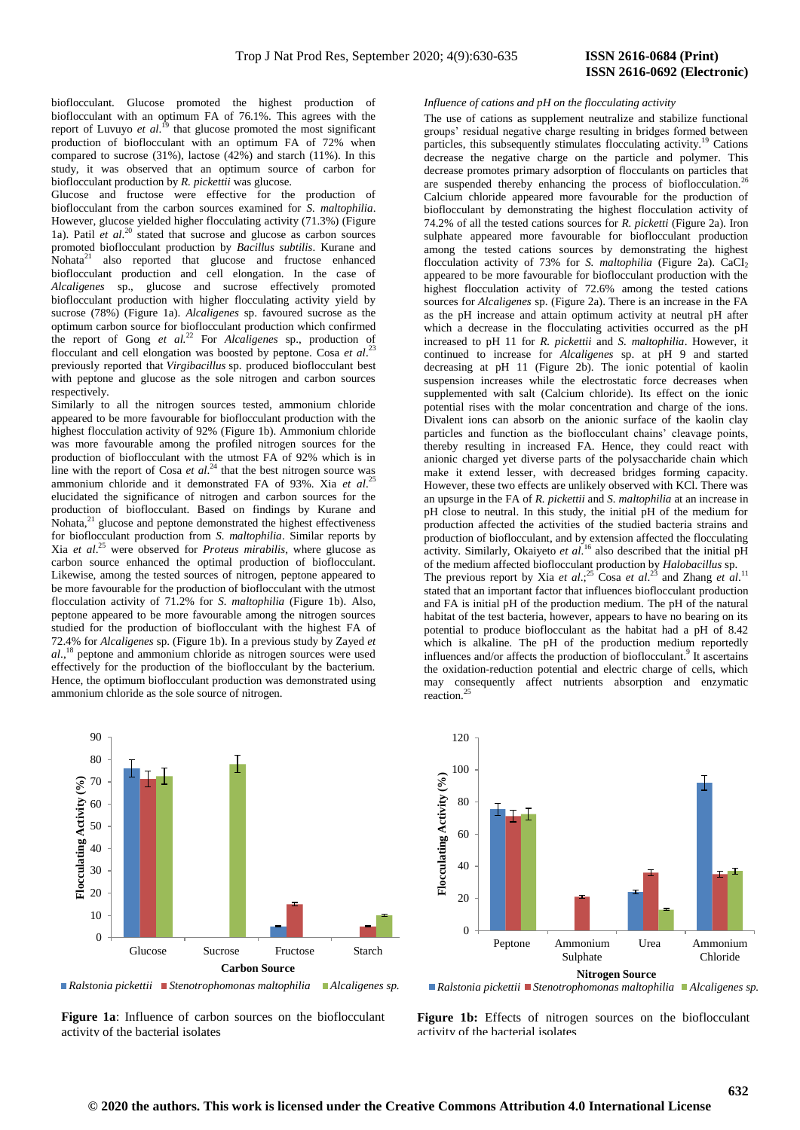bioflocculant. Glucose promoted the highest production of bioflocculant with an optimum FA of 76.1%. This agrees with the report of Luvuyo *et al.*<sup>19</sup> that glucose promoted the most significant production of bioflocculant with an optimum FA of 72% when compared to sucrose  $(31\%)$ , lactose  $(42\%)$  and starch  $(11\%)$ . In this study, it was observed that an optimum source of carbon for bioflocculant production by *R. pickettii* was glucose.

Glucose and fructose were effective for the production of bioflocculant from the carbon sources examined for *S. maltophilia*. However, glucose yielded higher flocculating activity (71.3%) (Figure 1a). Patil *et al*. <sup>20</sup> stated that sucrose and glucose as carbon sources promoted bioflocculant production by *Bacillus subtilis*. Kurane and Nohata<sup>21</sup> also reported that glucose and fructose enhanced bioflocculant production and cell elongation. In the case of *Alcaligenes* sp., glucose and sucrose effectively promoted bioflocculant production with higher flocculating activity yield by sucrose (78%) (Figure 1a). *Alcaligenes* sp. favoured sucrose as the optimum carbon source for bioflocculant production which confirmed the report of Gong *et al.*<sup>22</sup> For *Alcaligenes* sp., production of flocculant and cell elongation was boosted by peptone. Cosa *et al*. 23 previously reported that *Virgibacillus* sp. produced bioflocculant best with peptone and glucose as the sole nitrogen and carbon sources respectively.

Similarly to all the nitrogen sources tested, ammonium chloride appeared to be more favourable for bioflocculant production with the highest flocculation activity of 92% (Figure 1b). Ammonium chloride was more favourable among the profiled nitrogen sources for the production of bioflocculant with the utmost FA of 92% which is in line with the report of Cosa  $et al.<sup>24</sup>$  that the best nitrogen source was ammonium chloride and it demonstrated FA of 93%. Xia *et al*. 25 elucidated the significance of nitrogen and carbon sources for the production of bioflocculant. Based on findings by Kurane and  $Nohata<sub>1</sub><sup>21</sup>$  glucose and peptone demonstrated the highest effectiveness for bioflocculant production from *S. maltophilia*. Similar reports by Xia *et al*. <sup>25</sup> were observed for *Proteus mirabilis*, where glucose as carbon source enhanced the optimal production of bioflocculant. Likewise, among the tested sources of nitrogen, peptone appeared to be more favourable for the production of bioflocculant with the utmost flocculation activity of 71.2% for *S. maltophilia* (Figure 1b). Also, peptone appeared to be more favourable among the nitrogen sources studied for the production of bioflocculant with the highest FA of 72.4% for *Alcaligenes* sp. (Figure 1b). In a previous study by Zayed *et al*., peptone and ammonium chloride as nitrogen sources were used effectively for the production of the bioflocculant by the bacterium. Hence, the optimum bioflocculant production was demonstrated using ammonium chloride as the sole source of nitrogen.



*Ralstonia pickettii Stenotrophomonas maltophilia Alcaligenes sp.*

**Figure 1a**: Influence of carbon sources on the bioflocculant activity of the bacterial isolates

#### *Influence of cations and pH on the flocculating activity*

The use of cations as supplement neutralize and stabilize functional groups' residual negative charge resulting in bridges formed between particles, this subsequently stimulates flocculating activity.<sup>19</sup> Cations decrease the negative charge on the particle and polymer. This decrease promotes primary adsorption of flocculants on particles that are suspended thereby enhancing the process of bioflocculation.<sup>26</sup> Calcium chloride appeared more favourable for the production of bioflocculant by demonstrating the highest flocculation activity of 74.2% of all the tested cations sources for *R. picketti* (Figure 2a). Iron sulphate appeared more favourable for bioflocculant production among the tested cations sources by demonstrating the highest flocculation activity of 73% for *S. maltophilia* (Figure 2a). CaCI<sub>2</sub> appeared to be more favourable for bioflocculant production with the highest flocculation activity of 72.6% among the tested cations sources for *Alcaligenes* sp. (Figure 2a). There is an increase in the FA as the pH increase and attain optimum activity at neutral pH after which a decrease in the flocculating activities occurred as the pH increased to pH 11 for *R. pickettii* and *S. maltophilia*. However, it continued to increase for *Alcaligenes* sp. at pH 9 and started decreasing at pH 11 (Figure 2b). The ionic potential of kaolin suspension increases while the electrostatic force decreases when supplemented with salt (Calcium chloride). Its effect on the ionic potential rises with the molar concentration and charge of the ions. Divalent ions can absorb on the anionic surface of the kaolin clay particles and function as the bioflocculant chains' cleavage points, thereby resulting in increased FA. Hence, they could react with anionic charged yet diverse parts of the polysaccharide chain which make it extend lesser, with decreased bridges forming capacity. However, these two effects are unlikely observed with KCl. There was an upsurge in the FA of *R. pickettii* and *S. maltophilia* at an increase in pH close to neutral. In this study, the initial pH of the medium for production affected the activities of the studied bacteria strains and production of bioflocculant, and by extension affected the flocculating activity. Similarly, Okaiyeto *et al*. <sup>16</sup> also described that the initial pH of the medium affected bioflocculant production by *Halobacillus* sp. The previous report by Xia *et al*:<sup>25</sup> Cosa *et al*.<sup>23</sup> and Zhang *et al.*<sup>11</sup> stated that an important factor that influences bioflocculant production and FA is initial pH of the production medium. The pH of the natural habitat of the test bacteria, however, appears to have no bearing on its potential to produce bioflocculant as the habitat had a pH of 8.42 which is alkaline. The pH of the production medium reportedly influences and/or affects the production of bioflocculant.<sup>9</sup> It ascertains the oxidation-reduction potential and electric charge of cells, which may consequently affect nutrients absorption and enzymatic reaction.<sup>25</sup>



*Ralstonia pickettii Stenotrophomonas maltophilia Alcaligenes sp.*

Figure 1b: Effects of nitrogen sources on the bioflocculant activity of the bacterial isolates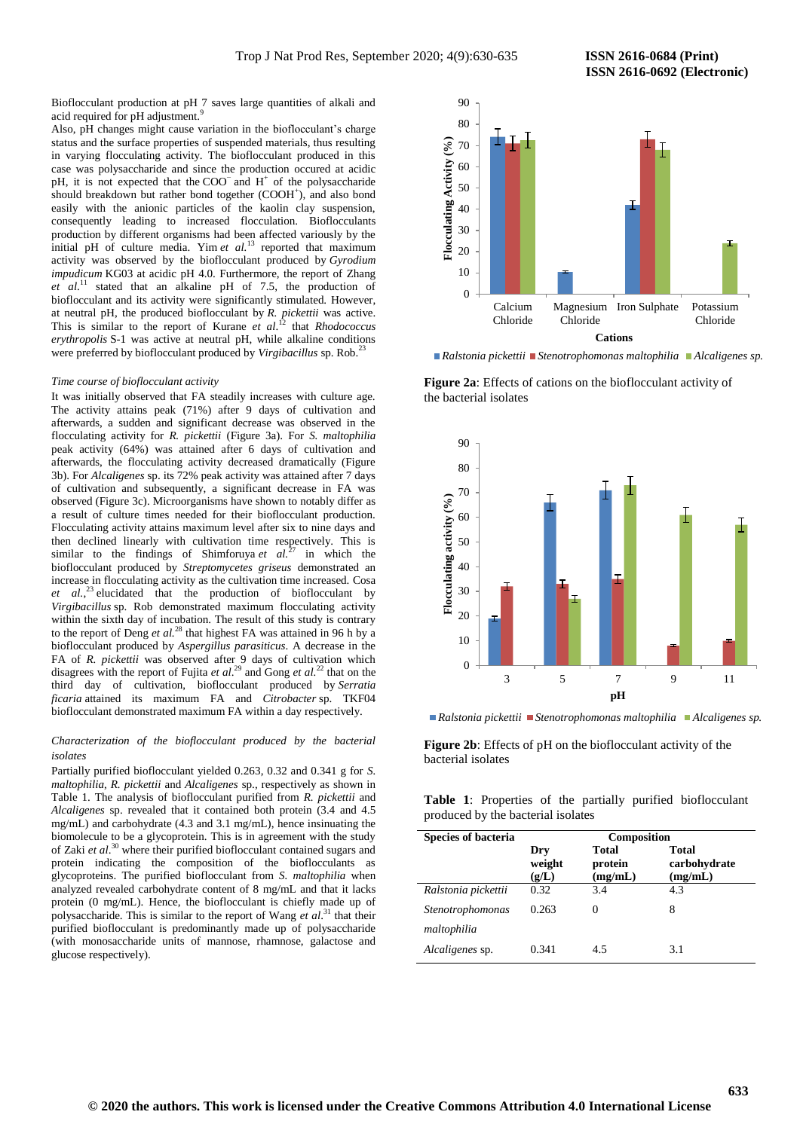Bioflocculant production at pH 7 saves large quantities of alkali and acid required for pH adjustment.<sup>9</sup>

Also, pH changes might cause variation in the bioflocculant's charge status and the surface properties of suspended materials, thus resulting in varying flocculating activity. The bioflocculant produced in this case was polysaccharide and since the production occured at acidic pH, it is not expected that the COO<sup>−</sup> and H<sup>+</sup> of the polysaccharide should breakdown but rather bond together (COOH<sup>+</sup>), and also bond easily with the anionic particles of the kaolin clay suspension, consequently leading to increased flocculation. Bioflocculants production by different organisms had been affected variously by the initial pH of culture media. Yim *et al.*<sup>13</sup> reported that maximum activity was observed by the bioflocculant produced by *Gyrodium impudicum* KG03 at acidic pH 4.0. Furthermore, the report of Zhang *et al*. <sup>11</sup> stated that an alkaline pH of 7.5, the production of bioflocculant and its activity were significantly stimulated. However, at neutral pH, the produced bioflocculant by *R. pickettii* was active. This is similar to the report of Kurane *et al*. <sup>12</sup> that *Rhodococcus erythropolis* S-1 was active at neutral pH, while alkaline conditions were preferred by bioflocculant produced by *Virgibacillus* sp. Rob.<sup>23</sup>

#### *Time course of bioflocculant activity*

It was initially observed that FA steadily increases with culture age. The activity attains peak (71%) after 9 days of cultivation and afterwards, a sudden and significant decrease was observed in the flocculating activity for *R. pickettii* (Figure 3a). For *S. maltophilia* peak activity (64%) was attained after 6 days of cultivation and afterwards, the flocculating activity decreased dramatically (Figure 3b). For *Alcaligenes* sp. its 72% peak activity was attained after 7 days of cultivation and subsequently, a significant decrease in FA was observed (Figure 3c). Microorganisms have shown to notably differ as a result of culture times needed for their bioflocculant production. Flocculating activity attains maximum level after six to nine days and then declined linearly with cultivation time respectively. This is similar to the findings of Shimforuya *et al.*<sup>27</sup> in which the bioflocculant produced by *Streptomycetes griseus* demonstrated an increase in flocculating activity as the cultivation time increased. Cosa *et al.*, <sup>23</sup> elucidated that the production of bioflocculant by *Virgibacillus* sp. Rob demonstrated maximum flocculating activity within the sixth day of incubation. The result of this study is contrary to the report of Deng *et al.*<sup>28</sup> that highest FA was attained in 96 h by a bioflocculant produced by *Aspergillus parasiticus*. A decrease in the FA of *R. pickettii* was observed after 9 days of cultivation which disagrees with the report of Fujita *et al*. <sup>29</sup> and Gong *et al.*<sup>22</sup> that on the third day of cultivation, bioflocculant produced by *Serratia ficaria* attained its maximum FA and *Citrobacter* sp. TKF04 bioflocculant demonstrated maximum FA within a day respectively.

#### *Characterization of the bioflocculant produced by the bacterial isolates*

Partially purified bioflocculant yielded 0.263, 0.32 and 0.341 g for *S. maltophilia*, *R. pickettii* and *Alcaligenes* sp., respectively as shown in Table 1. The analysis of bioflocculant purified from *R. pickettii* and *Alcaligenes* sp. revealed that it contained both protein (3.4 and 4.5 mg/mL) and carbohydrate (4.3 and 3.1 mg/mL), hence insinuating the biomolecule to be a glycoprotein. This is in agreement with the study of Zaki *et al*. <sup>30</sup> where their purified bioflocculant contained sugars and protein indicating the composition of the bioflocculants as glycoproteins. The purified bioflocculant from *S. maltophilia* when analyzed revealed carbohydrate content of 8 mg/mL and that it lacks protein (0 mg/mL). Hence, the bioflocculant is chiefly made up of polysaccharide. This is similar to the report of Wang *et al*. <sup>31</sup> that their purified bioflocculant is predominantly made up of polysaccharide (with monosaccharide units of mannose, rhamnose, galactose and glucose respectively).



*Ralstonia pickettii Stenotrophomonas maltophilia Alcaligenes sp.*

**Figure 2a**: Effects of cations on the bioflocculant activity of the bacterial isolates



*Ralstonia pickettii Stenotrophomonas maltophilia Alcaligenes sp.*

**Figure 2b**: Effects of pH on the bioflocculant activity of the bacterial isolates

**Table 1**: Properties of the partially purified bioflocculant produced by the bacterial isolates

| <b>Species of bacteria</b>      | Composition            |                             |                                  |
|---------------------------------|------------------------|-----------------------------|----------------------------------|
|                                 | Dry<br>weight<br>(g/L) | Total<br>protein<br>(mg/mL) | Total<br>carbohydrate<br>(mg/mL) |
| Ralstonia pickettii             | 0.32                   | 3.4                         | 4.3                              |
| Stenotrophomonas<br>maltophilia | 0.263                  | $\Omega$                    | 8                                |
| <i>Alcaligenes sp.</i>          | 0.341                  | 4.5                         | 3.1                              |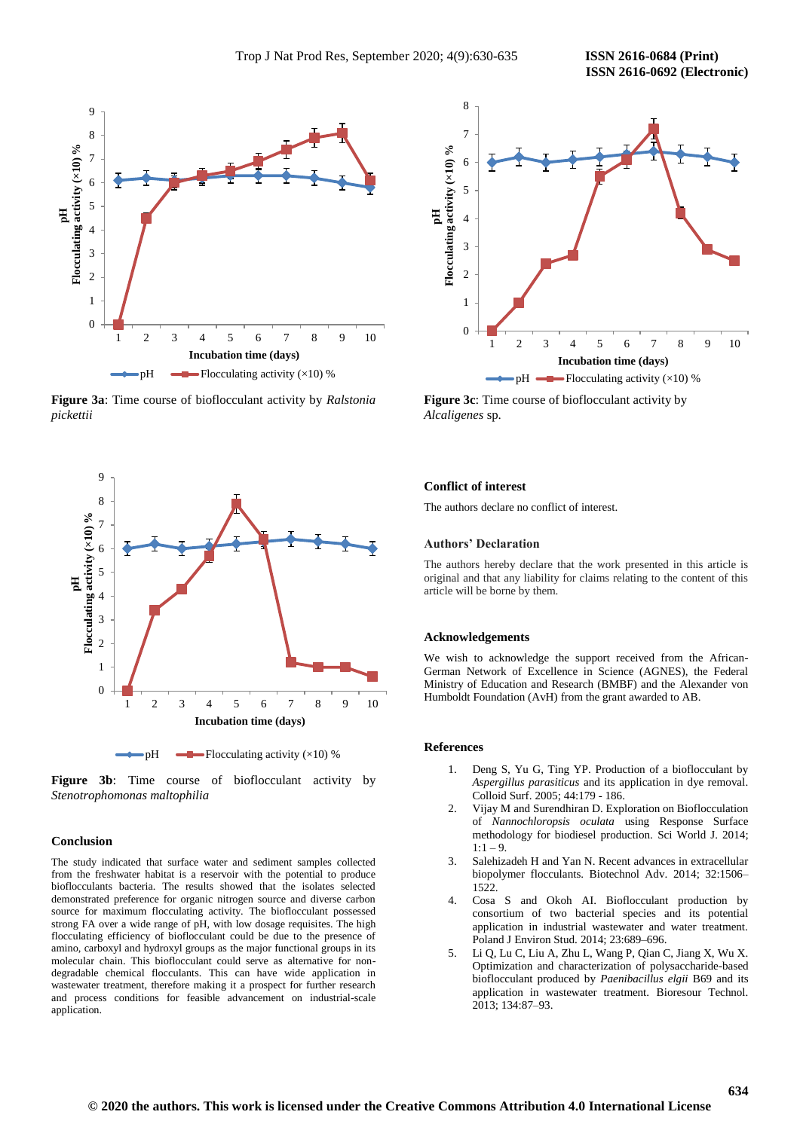

**Figure 3a**: Time course of bioflocculant activity by *Ralstonia pickettii*



**Figure 3b**: Time course of bioflocculant activity by *Stenotrophomonas maltophilia*

#### **Conclusion**

The study indicated that surface water and sediment samples collected from the freshwater habitat is a reservoir with the potential to produce bioflocculants bacteria. The results showed that the isolates selected demonstrated preference for organic nitrogen source and diverse carbon source for maximum flocculating activity. The bioflocculant possessed strong FA over a wide range of pH, with low dosage requisites. The high flocculating efficiency of bioflocculant could be due to the presence of amino, carboxyl and hydroxyl groups as the major functional groups in its molecular chain. This bioflocculant could serve as alternative for nondegradable chemical flocculants. This can have wide application in wastewater treatment, therefore making it a prospect for further research and process conditions for feasible advancement on industrial-scale application.



**Figure 3c**: Time course of bioflocculant activity by *Alcaligenes* sp.

#### **Conflict of interest**

The authors declare no conflict of interest.

#### **Authors' Declaration**

The authors hereby declare that the work presented in this article is original and that any liability for claims relating to the content of this article will be borne by them.

#### **Acknowledgements**

We wish to acknowledge the support received from the African-German Network of Excellence in Science (AGNES), the Federal Ministry of Education and Research (BMBF) and the Alexander von Humboldt Foundation (AvH) from the grant awarded to AB.

#### **References**

- 1. Deng S, Yu G, Ting YP. Production of a bioflocculant by *Aspergillus parasiticus* and its application in dye removal. Colloid Surf. 2005; 44:179 - 186.
- 2. Vijay M and Surendhiran D. Exploration on Bioflocculation of *Nannochloropsis oculata* using Response Surface methodology for biodiesel production. Sci World J. 2014;  $1:1 - 9$ .
- 3. Salehizadeh H and Yan N. Recent advances in extracellular biopolymer flocculants. Biotechnol Adv. 2014; 32:1506– 1522.
- 4. Cosa S and Okoh AI. Bioflocculant production by consortium of two bacterial species and its potential application in industrial wastewater and water treatment. Poland J Environ Stud. 2014; 23:689–696.
- 5. Li Q, Lu C, Liu A, Zhu L, Wang P, Qian C, Jiang X, Wu X. Optimization and characterization of polysaccharide-based bioflocculant produced by *Paenibacillus elgii* B69 and its application in wastewater treatment. Bioresour Technol. 2013; 134:87–93.